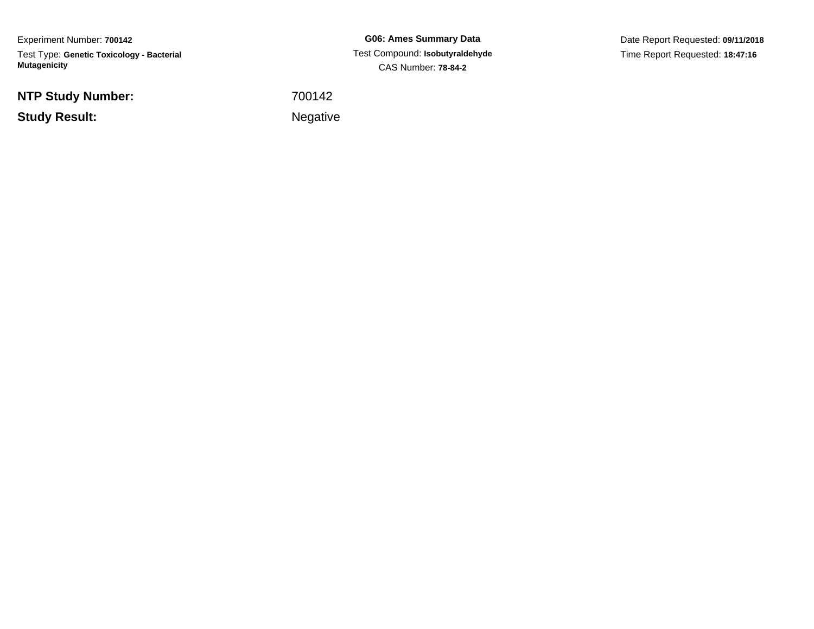Experiment Number: **700142**Test Type: **Genetic Toxicology - Bacterial Mutagenicity**

**NTP Study Number:**

**Study Result:**

**G06: Ames Summary Data** Test Compound: **Isobutyraldehyde**CAS Number: **78-84-2**

Date Report Requested: **09/11/2018**Time Report Requested: **18:47:16**

<sup>700142</sup>

**Example 2** is a set of the set of the Negative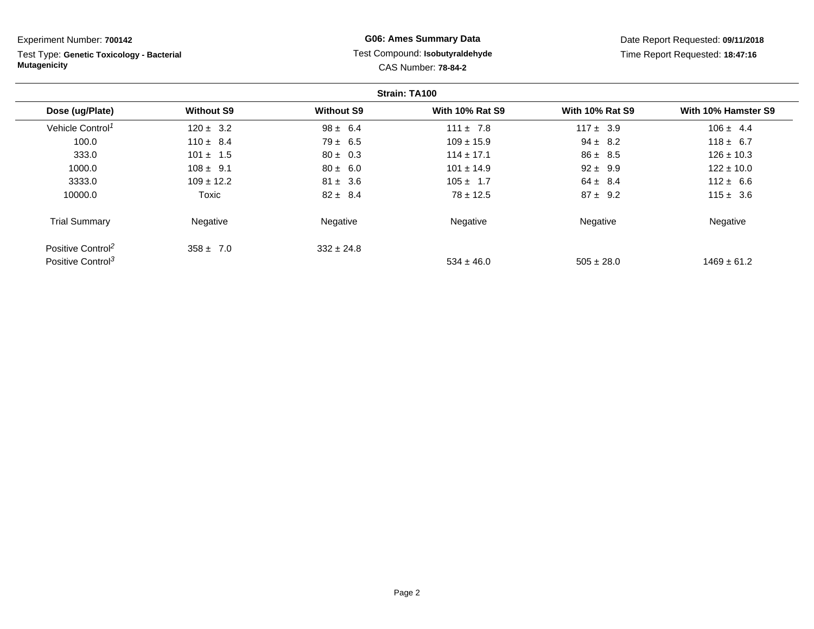Test Type: **Genetic Toxicology - Bacterial Mutagenicity**

## **G06: Ames Summary Data** Test Compound: **Isobutyraldehyde**CAS Number: **78-84-2**

|                               |                   |                   | Strain: TA100          |                        |                     |
|-------------------------------|-------------------|-------------------|------------------------|------------------------|---------------------|
| Dose (ug/Plate)               | <b>Without S9</b> | <b>Without S9</b> | <b>With 10% Rat S9</b> | <b>With 10% Rat S9</b> | With 10% Hamster S9 |
| Vehicle Control <sup>1</sup>  | $120 \pm 3.2$     | $98 \pm 6.4$      | $111 \pm 7.8$          | $117 \pm 3.9$          | $106 \pm 4.4$       |
| 100.0                         | $110 \pm 8.4$     | $79 \pm 6.5$      | $109 \pm 15.9$         | $94 \pm 8.2$           | $118 \pm 6.7$       |
| 333.0                         | $101 \pm 1.5$     | $80 \pm 0.3$      | $114 \pm 17.1$         | $86 \pm 8.5$           | $126 \pm 10.3$      |
| 1000.0                        | $108 \pm 9.1$     | $80 \pm 6.0$      | $101 \pm 14.9$         | $92 \pm 9.9$           | $122 \pm 10.0$      |
| 3333.0                        | $109 \pm 12.2$    | $81 \pm 3.6$      | $105 \pm 1.7$          | $64 \pm 8.4$           | $112 \pm 6.6$       |
| 10000.0                       | Toxic             | $82 \pm 8.4$      | $78 \pm 12.5$          | $87 \pm 9.2$           | $115 \pm 3.6$       |
| <b>Trial Summary</b>          | Negative          | Negative          | Negative               | Negative               | Negative            |
| Positive Control <sup>2</sup> | $358 \pm 7.0$     | $332 \pm 24.8$    |                        |                        |                     |
| Positive Control <sup>3</sup> |                   |                   | $534 \pm 46.0$         | $505 \pm 28.0$         | $1469 \pm 61.2$     |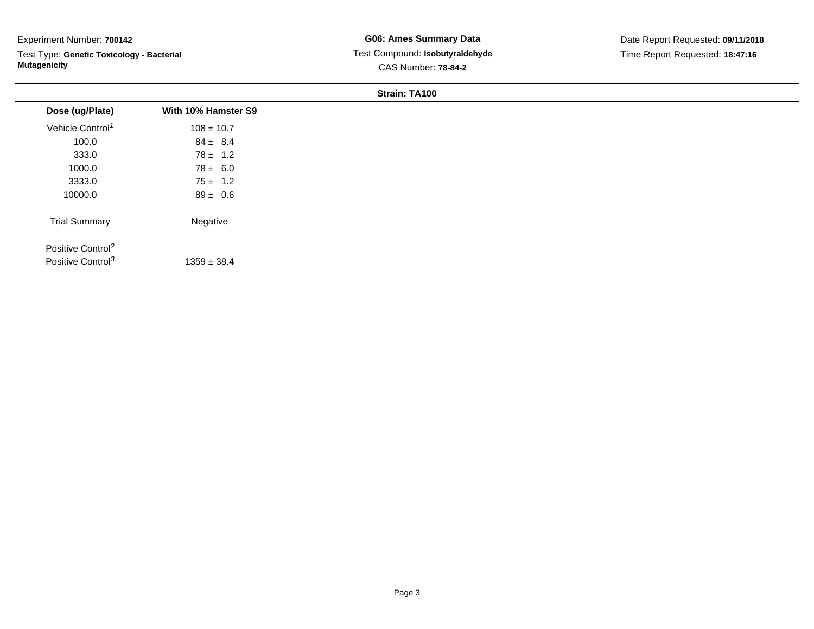Test Type: **Genetic Toxicology - Bacterial Mutagenicity**

| Dose (ug/Plate)                                                | With 10% Hamster S9 |
|----------------------------------------------------------------|---------------------|
| Vehicle Control <sup>1</sup>                                   | $108 \pm 10.7$      |
| 100.0                                                          | $84 \pm 8.4$        |
| 333.0                                                          | $78 \pm 1.2$        |
| 1000.0                                                         | $78 \pm 6.0$        |
| 3333.0                                                         | $75 \pm 1.2$        |
| 10000.0                                                        | $89 \pm 0.6$        |
| <b>Trial Summary</b>                                           | Negative            |
| Positive Control <sup>2</sup><br>Positive Control <sup>3</sup> | $1359 \pm 38.4$     |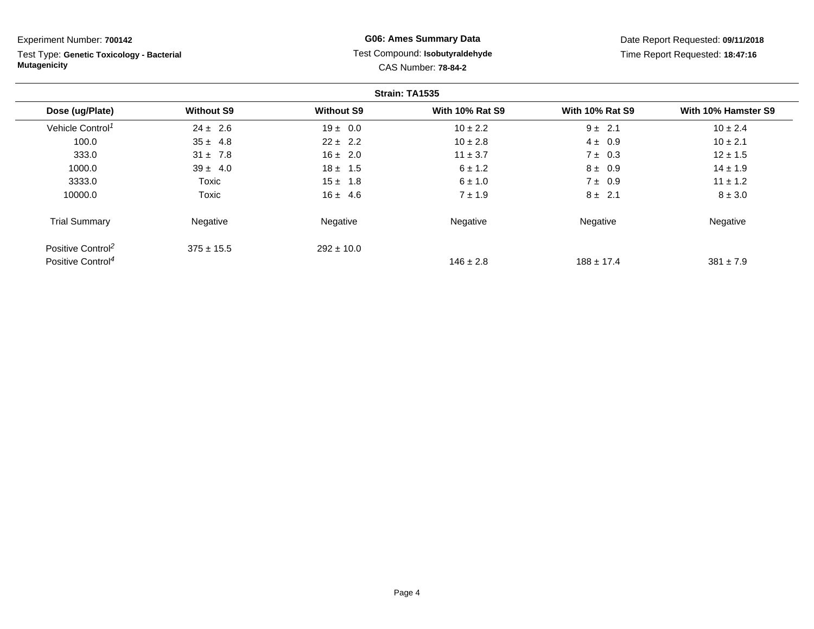Test Type: **Genetic Toxicology - Bacterial Mutagenicity**

## **G06: Ames Summary Data** Test Compound: **Isobutyraldehyde**CAS Number: **78-84-2**

|                               |                   |                   | Strain: TA1535         |                        |                     |
|-------------------------------|-------------------|-------------------|------------------------|------------------------|---------------------|
| Dose (ug/Plate)               | <b>Without S9</b> | <b>Without S9</b> | <b>With 10% Rat S9</b> | <b>With 10% Rat S9</b> | With 10% Hamster S9 |
| Vehicle Control <sup>1</sup>  | $24 \pm 2.6$      | $19 \pm 0.0$      | $10 \pm 2.2$           | $9 \pm 2.1$            | $10 \pm 2.4$        |
| 100.0                         | $35 \pm 4.8$      | $22 \pm 2.2$      | $10 \pm 2.8$           | $4 \pm 0.9$            | $10 \pm 2.1$        |
| 333.0                         | $31 \pm 7.8$      | $16 \pm 2.0$      | $11 \pm 3.7$           | $7 \pm 0.3$            | $12 \pm 1.5$        |
| 1000.0                        | $39 \pm 4.0$      | $18 \pm 1.5$      | $6 \pm 1.2$            | $8 \pm 0.9$            | $14 \pm 1.9$        |
| 3333.0                        | Toxic             | $15 \pm 1.8$      | $6 \pm 1.0$            | $7 \pm 0.9$            | $11 \pm 1.2$        |
| 10000.0                       | Toxic             | $16 \pm 4.6$      | $7 \pm 1.9$            | $8 \pm 2.1$            | $8 \pm 3.0$         |
| <b>Trial Summary</b>          | Negative          | Negative          | Negative               | Negative               | Negative            |
| Positive Control <sup>2</sup> | $375 \pm 15.5$    | $292 \pm 10.0$    |                        |                        |                     |
| Positive Control <sup>4</sup> |                   |                   | $146 \pm 2.8$          | $188 \pm 17.4$         | $381 \pm 7.9$       |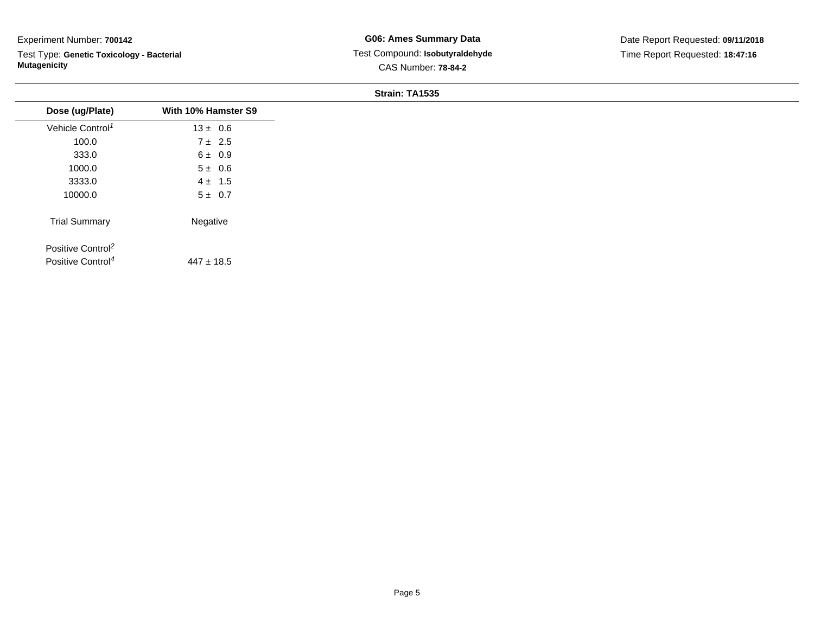Test Type: **Genetic Toxicology - Bacterial Mutagenicity**

| Dose (ug/Plate)               | With 10% Hamster S9 |
|-------------------------------|---------------------|
| Vehicle Control <sup>1</sup>  | $13 \pm 0.6$        |
| 100.0                         | $7 \pm 2.5$         |
| 333.0                         | $6 \pm 0.9$         |
| 1000.0                        | $5 \pm 0.6$         |
| 3333.0                        | $4 \pm 1.5$         |
| 10000.0                       | $5 \pm 0.7$         |
| <b>Trial Summary</b>          | Negative            |
| Positive Control <sup>2</sup> |                     |
| Positive Control <sup>4</sup> | $447 \pm 18.5$      |
|                               |                     |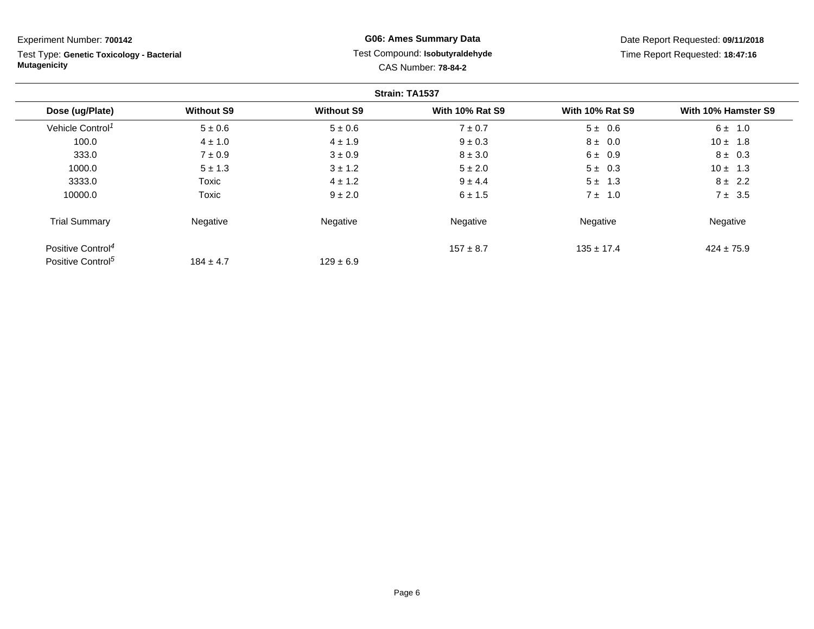Test Type: **Genetic Toxicology - Bacterial Mutagenicity**

## **G06: Ames Summary Data** Test Compound: **Isobutyraldehyde**CAS Number: **78-84-2**

|                               |                   |                   | Strain: TA1537         |                        |                     |
|-------------------------------|-------------------|-------------------|------------------------|------------------------|---------------------|
| Dose (ug/Plate)               | <b>Without S9</b> | <b>Without S9</b> | <b>With 10% Rat S9</b> | <b>With 10% Rat S9</b> | With 10% Hamster S9 |
| Vehicle Control <sup>1</sup>  | $5 \pm 0.6$       | $5 \pm 0.6$       | $7 \pm 0.7$            | $5 \pm 0.6$            | $6 \pm 1.0$         |
| 100.0                         | $4 \pm 1.0$       | $4 \pm 1.9$       | $9 \pm 0.3$            | $8 \pm 0.0$            | $10 \pm 1.8$        |
| 333.0                         | $7 \pm 0.9$       | $3 \pm 0.9$       | $8 \pm 3.0$            | $6 \pm 0.9$            | $8 \pm 0.3$         |
| 1000.0                        | $5 \pm 1.3$       | $3 \pm 1.2$       | $5 \pm 2.0$            | $5 \pm 0.3$            | $10 \pm 1.3$        |
| 3333.0                        | Toxic             | $4 \pm 1.2$       | $9 \pm 4.4$            | $5 \pm 1.3$            | $8 \pm 2.2$         |
| 10000.0                       | Toxic             | $9 \pm 2.0$       | $6 \pm 1.5$            | $7 \pm 1.0$            | $7 \pm 3.5$         |
| <b>Trial Summary</b>          | Negative          | Negative          | Negative               | Negative               | Negative            |
| Positive Control <sup>4</sup> |                   |                   | $157 \pm 8.7$          | $135 \pm 17.4$         | $424 \pm 75.9$      |
| Positive Control <sup>5</sup> | $184 \pm 4.7$     | $129 \pm 6.9$     |                        |                        |                     |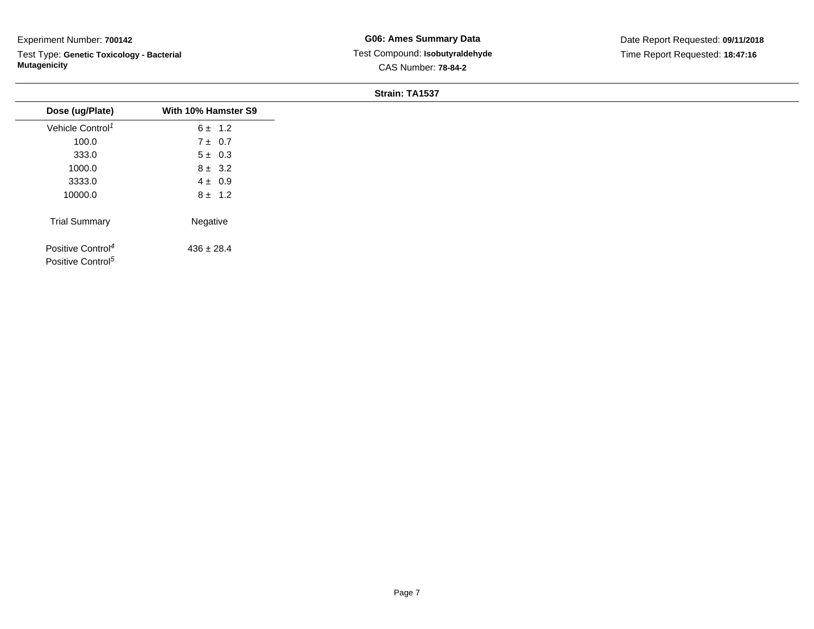Test Type: **Genetic Toxicology - Bacterial Mutagenicity**

| Dose (ug/Plate)                                                | With 10% Hamster S9 |
|----------------------------------------------------------------|---------------------|
| Vehicle Control <sup>1</sup>                                   | $6 \pm 1.2$         |
| 100.0                                                          | $7 \pm 0.7$         |
| 333.0                                                          | $5 \pm 0.3$         |
| 1000.0                                                         | $8 \pm 3.2$         |
| 3333.0                                                         | $4 \pm 0.9$         |
| 10000.0                                                        | $8 \pm 1.2$         |
| <b>Trial Summary</b>                                           | Negative            |
| Positive Control <sup>4</sup><br>Positive Control <sup>5</sup> | $436 \pm 28.4$      |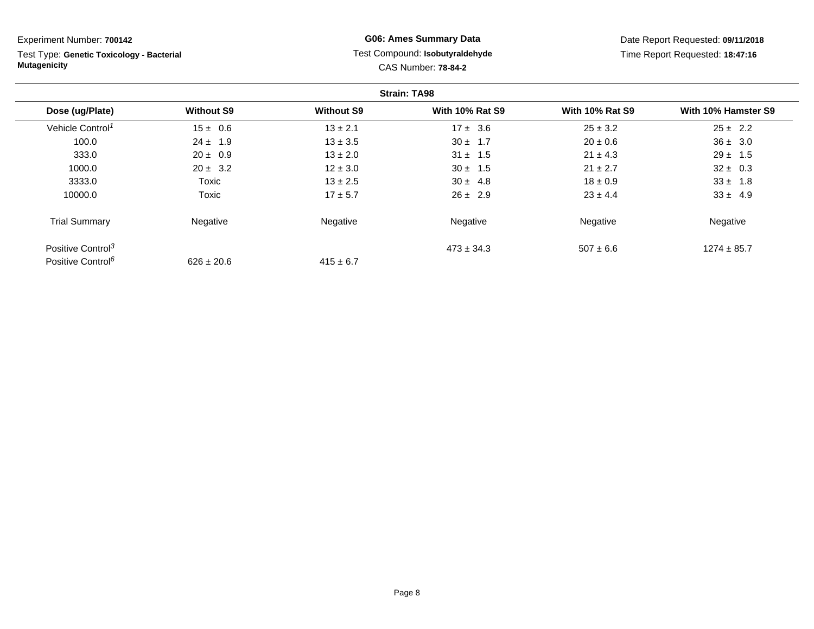Test Type: **Genetic Toxicology - Bacterial Mutagenicity**

## **G06: Ames Summary Data** Test Compound: **Isobutyraldehyde**CAS Number: **78-84-2**

|                               |                   |                   | <b>Strain: TA98</b>    |                        |                     |
|-------------------------------|-------------------|-------------------|------------------------|------------------------|---------------------|
| Dose (ug/Plate)               | <b>Without S9</b> | <b>Without S9</b> | <b>With 10% Rat S9</b> | <b>With 10% Rat S9</b> | With 10% Hamster S9 |
| Vehicle Control <sup>1</sup>  | $15 \pm 0.6$      | $13 \pm 2.1$      | $17 \pm 3.6$           | $25 \pm 3.2$           | $25 \pm 2.2$        |
| 100.0                         | $24 \pm 1.9$      | $13 \pm 3.5$      | $30 \pm 1.7$           | $20 \pm 0.6$           | $36 \pm 3.0$        |
| 333.0                         | $20 \pm 0.9$      | $13 \pm 2.0$      | $31 \pm 1.5$           | $21 \pm 4.3$           | $29 \pm 1.5$        |
| 1000.0                        | $20 \pm 3.2$      | $12 \pm 3.0$      | $30 \pm 1.5$           | $21 \pm 2.7$           | $32 \pm 0.3$        |
| 3333.0                        | Toxic             | $13 \pm 2.5$      | $30 \pm 4.8$           | $18 \pm 0.9$           | $33 \pm 1.8$        |
| 10000.0                       | Toxic             | $17 \pm 5.7$      | $26 \pm 2.9$           | $23 \pm 4.4$           | $33 \pm 4.9$        |
| <b>Trial Summary</b>          | Negative          | Negative          | Negative               | Negative               | Negative            |
| Positive Control <sup>3</sup> |                   |                   | $473 \pm 34.3$         | $507 \pm 6.6$          | $1274 \pm 85.7$     |
| Positive Control <sup>6</sup> | $626 \pm 20.6$    | $415 \pm 6.7$     |                        |                        |                     |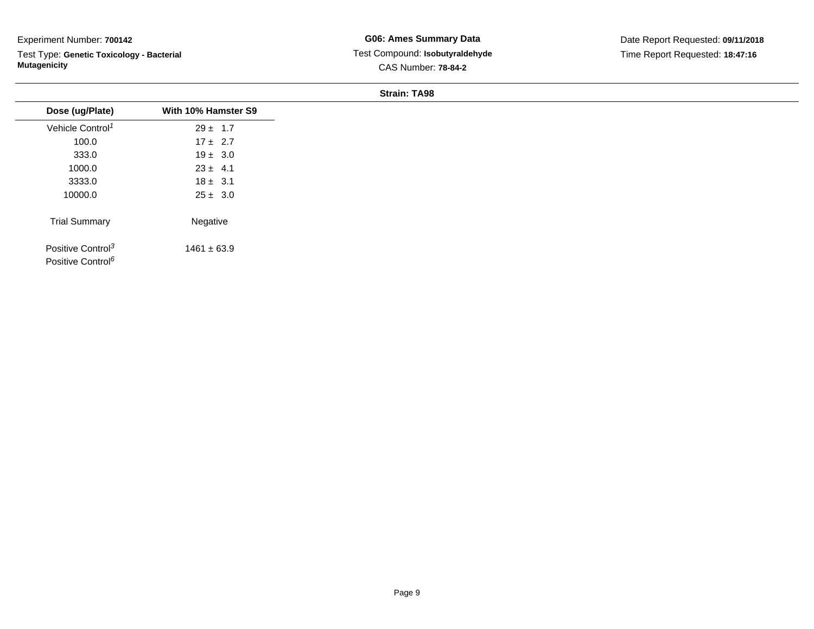Test Type: **Genetic Toxicology - Bacterial Mutagenicity**

**G06: Ames Summary Data** Test Compound: **Isobutyraldehyde**CAS Number: **78-84-2**

Date Report Requested: **09/11/2018**Time Report Requested: **18:47:16**

| Dose (ug/Plate)                                                | With 10% Hamster S9 |
|----------------------------------------------------------------|---------------------|
| Vehicle Control <sup>1</sup>                                   | $29 \pm 1.7$        |
| 100.0                                                          | $17 \pm 2.7$        |
| 333.0                                                          | $19 \pm 3.0$        |
| 1000.0                                                         | $23 \pm 4.1$        |
| 3333.0                                                         | $18 \pm 3.1$        |
| 10000.0                                                        | $25 \pm 3.0$        |
| <b>Trial Summary</b>                                           | Negative            |
| Positive Control <sup>3</sup><br>Positive Control <sup>6</sup> | $1461 \pm 63.9$     |
|                                                                |                     |